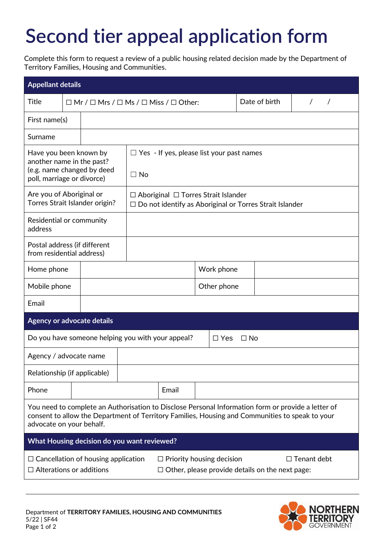## **Second tier appeal application form**

Complete this form to request a review of a public housing related decision made by the Department of Territory Families, Housing and Communities.

| <b>Appellant details</b>                                                                                                                                                                                                          |  |                                                                                                                   |  |       |             |  |               |  |  |
|-----------------------------------------------------------------------------------------------------------------------------------------------------------------------------------------------------------------------------------|--|-------------------------------------------------------------------------------------------------------------------|--|-------|-------------|--|---------------|--|--|
| <b>Title</b>                                                                                                                                                                                                                      |  | $\Box$ Mr / $\Box$ Mrs / $\Box$ Ms / $\Box$ Miss / $\Box$ Other:                                                  |  |       |             |  | Date of birth |  |  |
| First name(s)                                                                                                                                                                                                                     |  |                                                                                                                   |  |       |             |  |               |  |  |
| Surname                                                                                                                                                                                                                           |  |                                                                                                                   |  |       |             |  |               |  |  |
| Have you been known by<br>another name in the past?<br>(e.g. name changed by deed<br>poll, marriage or divorce)                                                                                                                   |  | $\Box$ Yes - If yes, please list your past names<br>$\Box$ No                                                     |  |       |             |  |               |  |  |
| Are you of Aboriginal or<br>Torres Strait Islander origin?                                                                                                                                                                        |  | $\Box$ Aboriginal $\Box$ Torres Strait Islander<br>$\Box$ Do not identify as Aboriginal or Torres Strait Islander |  |       |             |  |               |  |  |
| Residential or community<br>address                                                                                                                                                                                               |  |                                                                                                                   |  |       |             |  |               |  |  |
| Postal address (if different<br>from residential address)                                                                                                                                                                         |  |                                                                                                                   |  |       |             |  |               |  |  |
| Home phone                                                                                                                                                                                                                        |  |                                                                                                                   |  |       | Work phone  |  |               |  |  |
| Mobile phone                                                                                                                                                                                                                      |  |                                                                                                                   |  |       | Other phone |  |               |  |  |
| Email                                                                                                                                                                                                                             |  |                                                                                                                   |  |       |             |  |               |  |  |
| <b>Agency or advocate details</b>                                                                                                                                                                                                 |  |                                                                                                                   |  |       |             |  |               |  |  |
| Do you have someone helping you with your appeal?<br>$\square$ Yes<br>$\Box$ No                                                                                                                                                   |  |                                                                                                                   |  |       |             |  |               |  |  |
| Agency / advocate name                                                                                                                                                                                                            |  |                                                                                                                   |  |       |             |  |               |  |  |
| Relationship (if applicable)                                                                                                                                                                                                      |  |                                                                                                                   |  |       |             |  |               |  |  |
| Phone                                                                                                                                                                                                                             |  |                                                                                                                   |  | Email |             |  |               |  |  |
| You need to complete an Authorisation to Disclose Personal Information form or provide a letter of<br>consent to allow the Department of Territory Families, Housing and Communities to speak to your<br>advocate on your behalf. |  |                                                                                                                   |  |       |             |  |               |  |  |
| What Housing decision do you want reviewed?                                                                                                                                                                                       |  |                                                                                                                   |  |       |             |  |               |  |  |
| $\Box$ Tenant debt<br>$\Box$ Cancellation of housing application<br>$\Box$ Priority housing decision<br>$\Box$ Alterations or additions<br>$\Box$ Other, please provide details on the next page:                                 |  |                                                                                                                   |  |       |             |  |               |  |  |